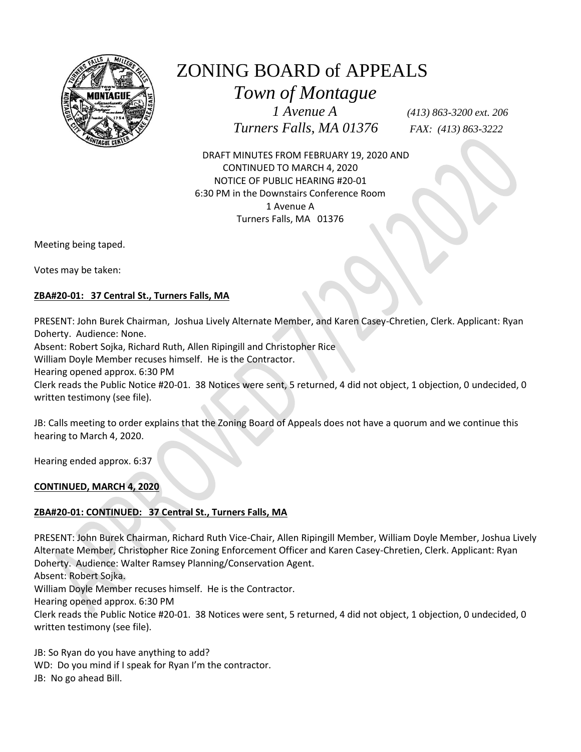

# ZONING BOARD of APPEALS

 *Town of Montague*

 *1 Avenue A (413) 863-3200 ext. 206 Turners Falls, MA 01376 FAX: (413) 863-3222*

 DRAFT MINUTES FROM FEBRUARY 19, 2020 AND CONTINUED TO MARCH 4, 2020 NOTICE OF PUBLIC HEARING #20-01 6:30 PM in the Downstairs Conference Room 1 Avenue A Turners Falls, MA 01376

Meeting being taped.

Votes may be taken:

## **ZBA#20-01: 37 Central St., Turners Falls, MA**

PRESENT: John Burek Chairman, Joshua Lively Alternate Member, and Karen Casey-Chretien, Clerk. Applicant: Ryan Doherty. Audience: None.

Absent: Robert Sojka, Richard Ruth, Allen Ripingill and Christopher Rice

William Doyle Member recuses himself. He is the Contractor.

Hearing opened approx. 6:30 PM

Clerk reads the Public Notice #20-01. 38 Notices were sent, 5 returned, 4 did not object, 1 objection, 0 undecided, 0 written testimony (see file).

JB: Calls meeting to order explains that the Zoning Board of Appeals does not have a quorum and we continue this hearing to March 4, 2020.

Hearing ended approx. 6:37

**CONTINUED, MARCH 4, 2020**

# **ZBA#20-01: CONTINUED: 37 Central St., Turners Falls, MA**

PRESENT: John Burek Chairman, Richard Ruth Vice-Chair, Allen Ripingill Member, William Doyle Member, Joshua Lively Alternate Member, Christopher Rice Zoning Enforcement Officer and Karen Casey-Chretien, Clerk. Applicant: Ryan Doherty. Audience: Walter Ramsey Planning/Conservation Agent.

Absent: Robert Sojka.

William Doyle Member recuses himself. He is the Contractor.

Hearing opened approx. 6:30 PM

Clerk reads the Public Notice #20-01. 38 Notices were sent, 5 returned, 4 did not object, 1 objection, 0 undecided, 0 written testimony (see file).

JB: So Ryan do you have anything to add? WD: Do you mind if I speak for Ryan I'm the contractor. JB: No go ahead Bill.